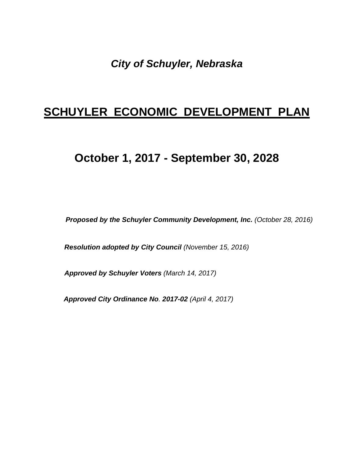# *City of Schuyler, Nebraska*

# **SCHUYLER ECONOMIC DEVELOPMENT PLAN**

# **October 1, 2017 - September 30, 2028**

*Proposed by the Schuyler Community Development, Inc. (October 28, 2016)*

*Resolution adopted by City Council (November 15, 2016)*

*Approved by Schuyler Voters (March 14, 2017)*

*Approved City Ordinance No. 2017-02 (April 4, 2017)*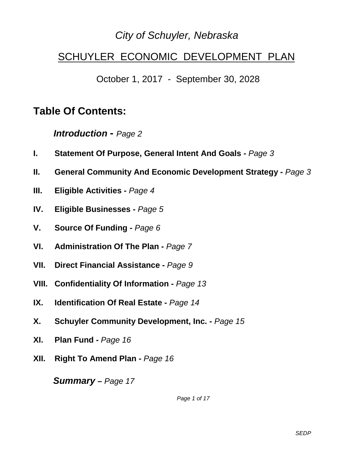## *City of Schuyler, Nebraska*

## SCHUYLER ECONOMIC DEVELOPMENT PLAN

October 1, 2017 - September 30, 2028

## **Table Of Contents:**

 *Introduction - Page 2* 

- **I. Statement Of Purpose, General Intent And Goals -** *Page 3*
- **II. General Community And Economic Development Strategy -** *Page 3*
- **III. Eligible Activities -** *Page 4*
- **IV. Eligible Businesses -** *Page 5*
- **V. Source Of Funding -** *Page 6*
- **VI. Administration Of The Plan -** *Page 7*
- **VII. Direct Financial Assistance -** *Page 9*
- **VIII. Confidentiality Of Information -** *Page 13*
- **IX. Identification Of Real Estate -** *Page 14*
- **X. Schuyler Community Development, Inc. -** *Page 15*
- **XI. Plan Fund -** *Page 16*
- **XII. Right To Amend Plan -** *Page 16*

 *Summary – Page 17* 

*Page 1 of 17*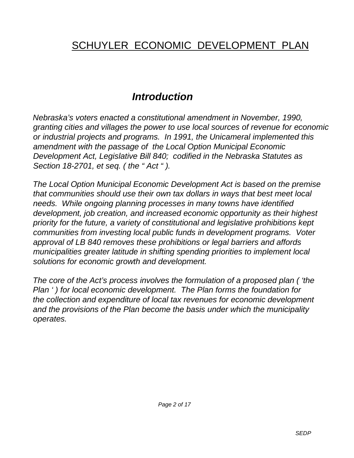# SCHUYLER ECONOMIC DEVELOPMENT PLAN

# *Introduction*

*Nebraska's voters enacted a constitutional amendment in November, 1990, granting cities and villages the power to use local sources of revenue for economic or industrial projects and programs. In 1991, the Unicameral implemented this amendment with the passage of the Local Option Municipal Economic Development Act, Legislative Bill 840; codified in the Nebraska Statutes as Section 18-2701, et seq. ( the " Act " ).* 

*The Local Option Municipal Economic Development Act is based on the premise that communities should use their own tax dollars in ways that best meet local needs. While ongoing planning processes in many towns have identified development, job creation, and increased economic opportunity as their highest priority for the future, a variety of constitutional and legislative prohibitions kept communities from investing local public funds in development programs. Voter approval of LB 840 removes these prohibitions or legal barriers and affords municipalities greater latitude in shifting spending priorities to implement local solutions for economic growth and development.* 

*The core of the Act's process involves the formulation of a proposed plan ( 'the Plan ' ) for local economic development. The Plan forms the foundation for the collection and expenditure of local tax revenues for economic development and the provisions of the Plan become the basis under which the municipality operates.*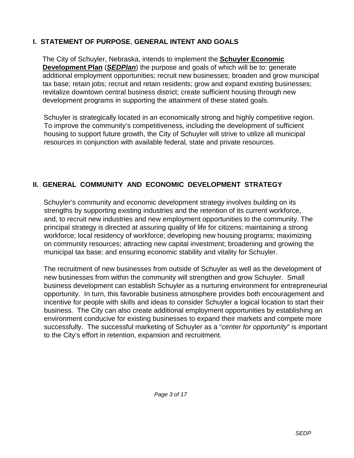#### **I. STATEMENT OF PURPOSE**, **GENERAL INTENT AND GOALS**

 The City of Schuyler, Nebraska, intends to implement the **Schuyler Economic Development Plan** (*SEDPlan*) the purpose and goals of which will be to: generate additional employment opportunities; recruit new businesses; broaden and grow municipal tax base; retain jobs; recruit and retain residents; grow and expand existing businesses; revitalize downtown central business district; create sufficient housing through new development programs in supporting the attainment of these stated goals.

Schuyler is strategically located in an economically strong and highly competitive region. To improve the community's competitiveness, including the development of sufficient housing to support future growth, the City of Schuyler will strive to utilize all municipal resources in conjunction with available federal, state and private resources.

#### **II. GENERAL COMMUNITY AND ECONOMIC DEVELOPMENT STRATEGY**

Schuyler's community and economic development strategy involves building on its strengths by supporting existing industries and the retention of its current workforce, and, to recruit new industries and new employment opportunities to the community. The principal strategy is directed at assuring quality of life for citizens; maintaining a strong workforce; local residency of workforce; developing new housing programs; maximizing on community resources; attracting new capital investment; broadening and growing the municipal tax base; and ensuring economic stability and vitality for Schuyler.

The recruitment of new businesses from outside of Schuyler as well as the development of new businesses from within the community will strengthen and grow Schuyler. Small business development can establish Schuyler as a nurturing environment for entrepreneurial opportunity. In turn, this favorable business atmosphere provides both encouragement and incentive for people with skills and ideas to consider Schuyler a logical location to start their business. The City can also create additional employment opportunities by establishing an environment conducive for existing businesses to expand their markets and compete more successfully. The successful marketing of Schuyler as a "*center for opportunity*" is important to the City's effort in retention, expansion and recruitment.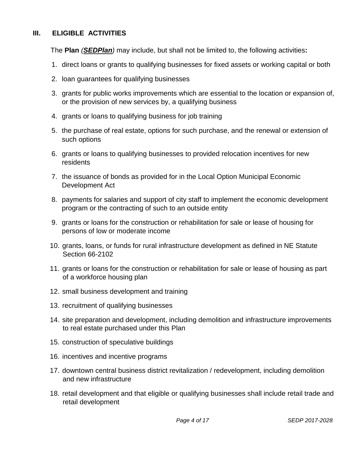#### **III. ELIGIBLE ACTIVITIES**

The **Plan** *(SEDPlan)* may include, but shall not be limited to, the following activities**:** 

- 1. direct loans or grants to qualifying businesses for fixed assets or working capital or both
- 2. loan guarantees for qualifying businesses
- 3. grants for public works improvements which are essential to the location or expansion of, or the provision of new services by, a qualifying business
- 4. grants or loans to qualifying business for job training
- 5. the purchase of real estate, options for such purchase, and the renewal or extension of such options
- 6. grants or loans to qualifying businesses to provided relocation incentives for new residents
- 7. the issuance of bonds as provided for in the Local Option Municipal Economic Development Act
- 8. payments for salaries and support of city staff to implement the economic development program or the contracting of such to an outside entity
- 9. grants or loans for the construction or rehabilitation for sale or lease of housing for persons of low or moderate income
- 10. grants, loans, or funds for rural infrastructure development as defined in NE Statute Section 66-2102
- 11. grants or loans for the construction or rehabilitation for sale or lease of housing as part of a workforce housing plan
- 12. small business development and training
- 13. recruitment of qualifying businesses
- 14. site preparation and development, including demolition and infrastructure improvements to real estate purchased under this Plan
- 15. construction of speculative buildings
- 16. incentives and incentive programs
- 17. downtown central business district revitalization / redevelopment, including demolition and new infrastructure
- 18. retail development and that eligible or qualifying businesses shall include retail trade and retail development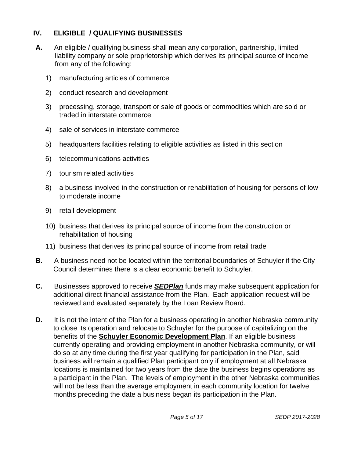#### **IV. ELIGIBLE / QUALIFYING BUSINESSES**

- **A.** An eligible / qualifying business shall mean any corporation, partnership, limited liability company or sole proprietorship which derives its principal source of income from any of the following:
	- 1) manufacturing articles of commerce
	- 2) conduct research and development
	- 3) processing, storage, transport or sale of goods or commodities which are sold or traded in interstate commerce
	- 4) sale of services in interstate commerce
	- 5) headquarters facilities relating to eligible activities as listed in this section
	- 6) telecommunications activities
	- 7) tourism related activities
	- 8) a business involved in the construction or rehabilitation of housing for persons of low to moderate income
	- 9) retail development
	- 10) business that derives its principal source of income from the construction or rehabilitation of housing
	- 11) business that derives its principal source of income from retail trade
- **B.** A business need not be located within the territorial boundaries of Schuyler if the City Council determines there is a clear economic benefit to Schuyler.
- **C.** Businesses approved to receive *SEDPlan* funds may make subsequent application for additional direct financial assistance from the Plan. Each application request will be reviewed and evaluated separately by the Loan Review Board.
- **D.** It is not the intent of the Plan for a business operating in another Nebraska community to close its operation and relocate to Schuyler for the purpose of capitalizing on the benefits of the **Schuyler Economic Development Plan**. If an eligible business currently operating and providing employment in another Nebraska community, or will do so at any time during the first year qualifying for participation in the Plan, said business will remain a qualified Plan participant only if employment at all Nebraska locations is maintained for two years from the date the business begins operations as a participant in the Plan. The levels of employment in the other Nebraska communities will not be less than the average employment in each community location for twelve months preceding the date a business began its participation in the Plan.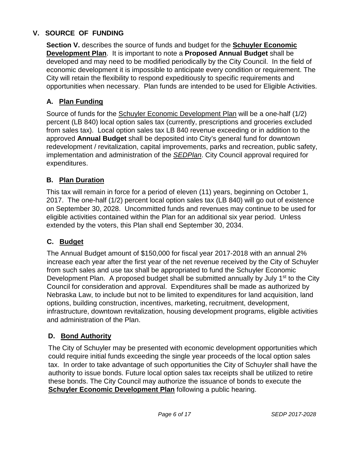### **V. SOURCE OF FUNDING**

 **Section V.** describes the source of funds and budget for the **Schuyler Economic Development Plan**. It is important to note a **Proposed Annual Budget** shall be developed and may need to be modified periodically by the City Council. In the field of economic development it is impossible to anticipate every condition or requirement. The City will retain the flexibility to respond expeditiously to specific requirements and opportunities when necessary. Plan funds are intended to be used for Eligible Activities.

### **A. Plan Funding**

 Source of funds for the Schuyler Economic Development Plan will be a one-half (1/2) percent (LB 840) local option sales tax (currently, prescriptions and groceries excluded from sales tax). Local option sales tax LB 840 revenue exceeding or in addition to the approved **Annual Budget** shall be deposited into City's general fund for downtown redevelopment / revitalization, capital improvements, parks and recreation, public safety, implementation and administration of the *SEDPlan*. City Council approval required for expenditures.

### **B. Plan Duration**

 This tax will remain in force for a period of eleven (11) years, beginning on October 1, 2017. The one-half (1/2) percent local option sales tax (LB 840) will go out of existence on September 30, 2028. Uncommitted funds and revenues may continue to be used for eligible activities contained within the Plan for an additional six year period. Unless extended by the voters, this Plan shall end September 30, 2034.

### **C. Budget**

 The Annual Budget amount of \$150,000 for fiscal year 2017-2018 with an annual 2% increase each year after the first year of the net revenue received by the City of Schuyler from such sales and use tax shall be appropriated to fund the Schuyler Economic Development Plan. A proposed budget shall be submitted annually by July 1<sup>st</sup> to the City Council for consideration and approval. Expenditures shall be made as authorized by Nebraska Law, to include but not to be limited to expenditures for land acquisition, land options, building construction, incentives, marketing, recruitment, development, infrastructure, downtown revitalization, housing development programs, eligible activities and administration of the Plan.

## **D. Bond Authority**

 The City of Schuyler may be presented with economic development opportunities which could require initial funds exceeding the single year proceeds of the local option sales tax. In order to take advantage of such opportunities the City of Schuyler shall have the authority to issue bonds. Future local option sales tax receipts shall be utilized to retire these bonds. The City Council may authorize the issuance of bonds to execute the **Schuyler Economic Development Plan** following a public hearing.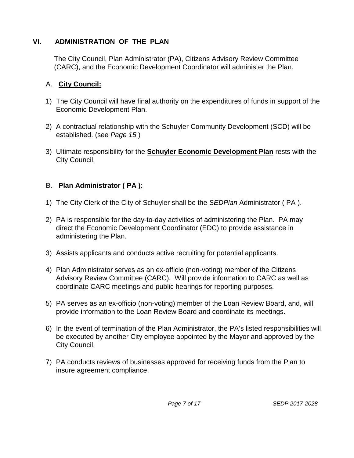#### **VI. ADMINISTRATION OF THE PLAN**

 The City Council, Plan Administrator (PA), Citizens Advisory Review Committee (CARC), and the Economic Development Coordinator will administer the Plan.

#### A. **City Council:**

- 1) The City Council will have final authority on the expenditures of funds in support of the Economic Development Plan.
- 2) A contractual relationship with the Schuyler Community Development (SCD) will be established. (see *Page 15* )
- 3) Ultimate responsibility for the **Schuyler Economic Development Plan** rests with the City Council.

### B. **Plan Administrator ( PA ):**

- 1) The City Clerk of the City of Schuyler shall be the *SEDPlan* Administrator ( PA ).
- 2) PA is responsible for the day-to-day activities of administering the Plan. PA may direct the Economic Development Coordinator (EDC) to provide assistance in administering the Plan.
- 3) Assists applicants and conducts active recruiting for potential applicants.
- 4) Plan Administrator serves as an ex-officio (non-voting) member of the Citizens Advisory Review Committee (CARC). Will provide information to CARC as well as coordinate CARC meetings and public hearings for reporting purposes.
- 5) PA serves as an ex-officio (non-voting) member of the Loan Review Board, and, will provide information to the Loan Review Board and coordinate its meetings.
- 6) In the event of termination of the Plan Administrator, the PA's listed responsibilities will be executed by another City employee appointed by the Mayor and approved by the City Council.
- 7) PA conducts reviews of businesses approved for receiving funds from the Plan to insure agreement compliance.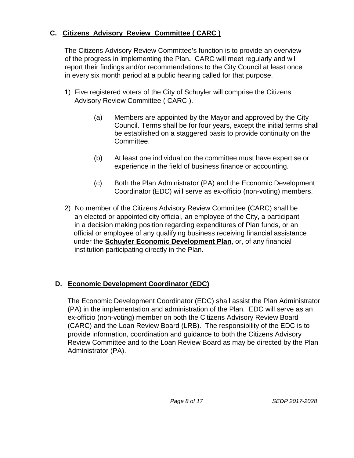#### **C. Citizens Advisory Review Committee ( CARC )**

The Citizens Advisory Review Committee's function is to provide an overview of the progress in implementing the Plan**.** CARC will meet regularly and will report their findings and/or recommendations to the City Council at least once in every six month period at a public hearing called for that purpose.

- 1) Five registered voters of the City of Schuyler will comprise the Citizens Advisory Review Committee ( CARC ).
	- (a) Members are appointed by the Mayor and approved by the City Council. Terms shall be for four years, except the initial terms shall be established on a staggered basis to provide continuity on the Committee.
	- (b) At least one individual on the committee must have expertise or experience in the field of business finance or accounting.
	- (c) Both the Plan Administrator (PA) and the Economic Development Coordinator (EDC) will serve as ex-officio (non-voting) members.
- 2) No member of the Citizens Advisory Review Committee (CARC) shall be an elected or appointed city official, an employee of the City, a participant in a decision making position regarding expenditures of Plan funds, or an official or employee of any qualifying business receiving financial assistance under the **Schuyler Economic Development Plan**, or, of any financial institution participating directly in the Plan.

### **D. Economic Development Coordinator (EDC)**

 The Economic Development Coordinator (EDC) shall assist the Plan Administrator (PA) in the implementation and administration of the Plan. EDC will serve as an ex-officio (non-voting) member on both the Citizens Advisory Review Board (CARC) and the Loan Review Board (LRB). The responsibility of the EDC is to provide information, coordination and guidance to both the Citizens Advisory Review Committee and to the Loan Review Board as may be directed by the Plan Administrator (PA).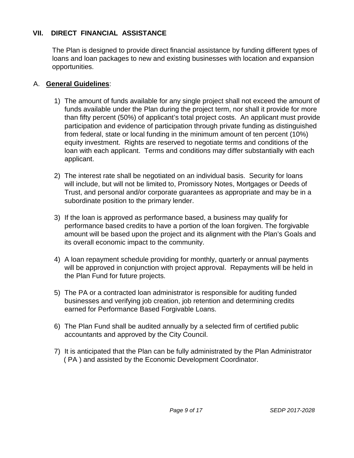#### **VII. DIRECT FINANCIAL ASSISTANCE**

 The Plan is designed to provide direct financial assistance by funding different types of loans and loan packages to new and existing businesses with location and expansion opportunities.

#### A. **General Guidelines**:

- 1) The amount of funds available for any single project shall not exceed the amount of funds available under the Plan during the project term, nor shall it provide for more than fifty percent (50%) of applicant's total project costs. An applicant must provide participation and evidence of participation through private funding as distinguished from federal, state or local funding in the minimum amount of ten percent (10%) equity investment. Rights are reserved to negotiate terms and conditions of the loan with each applicant. Terms and conditions may differ substantially with each applicant.
- 2) The interest rate shall be negotiated on an individual basis. Security for loans will include, but will not be limited to, Promissory Notes, Mortgages or Deeds of Trust, and personal and/or corporate guarantees as appropriate and may be in a subordinate position to the primary lender.
- 3) If the loan is approved as performance based, a business may qualify for performance based credits to have a portion of the loan forgiven. The forgivable amount will be based upon the project and its alignment with the Plan's Goals and its overall economic impact to the community.
- 4) A loan repayment schedule providing for monthly, quarterly or annual payments will be approved in conjunction with project approval. Repayments will be held in the Plan Fund for future projects.
- 5) The PA or a contracted loan administrator is responsible for auditing funded businesses and verifying job creation, job retention and determining credits earned for Performance Based Forgivable Loans.
- 6) The Plan Fund shall be audited annually by a selected firm of certified public accountants and approved by the City Council.
- 7) It is anticipated that the Plan can be fully administrated by the Plan Administrator ( PA ) and assisted by the Economic Development Coordinator.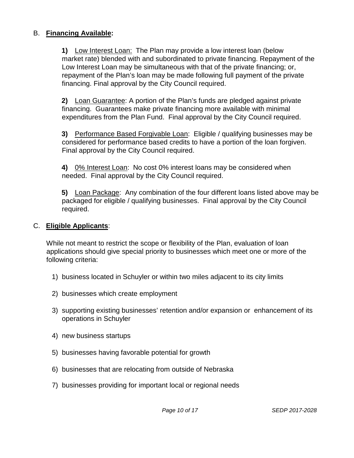#### B. **Financing Available:**

**1)** Low Interest Loan: The Plan may provide a low interest loan (below market rate) blended with and subordinated to private financing. Repayment of the Low Interest Loan may be simultaneous with that of the private financing; or, repayment of the Plan's loan may be made following full payment of the private financing. Final approval by the City Council required.

**2)** Loan Guarantee: A portion of the Plan's funds are pledged against private financing. Guarantees make private financing more available with minimal expenditures from the Plan Fund. Final approval by the City Council required.

**3)** Performance Based Forgivable Loan: Eligible / qualifying businesses may be considered for performance based credits to have a portion of the loan forgiven. Final approval by the City Council required.

**4)** 0% Interest Loan: No cost 0% interest loans may be considered when needed. Final approval by the City Council required.

**5)** Loan Package: Any combination of the four different loans listed above may be packaged for eligible / qualifying businesses. Final approval by the City Council required.

#### C. **Eligible Applicants**:

 While not meant to restrict the scope or flexibility of the Plan, evaluation of loan applications should give special priority to businesses which meet one or more of the following criteria:

- 1) business located in Schuyler or within two miles adjacent to its city limits
- 2) businesses which create employment
- 3) supporting existing businesses' retention and/or expansion or enhancement of its operations in Schuyler
- 4) new business startups
- 5) businesses having favorable potential for growth
- 6) businesses that are relocating from outside of Nebraska
- 7) businesses providing for important local or regional needs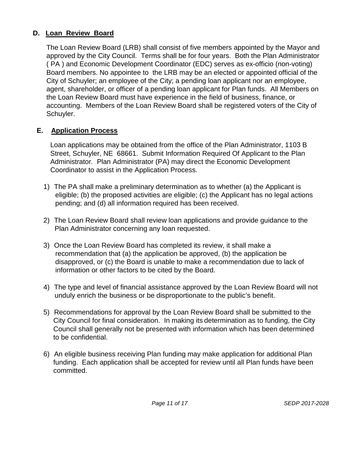#### **D. Loan Review Board**

 The Loan Review Board (LRB) shall consist of five members appointed by the Mayor and approved by the City Council. Terms shall be for four years. Both the Plan Administrator ( PA ) and Economic Development Coordinator (EDC) serves as ex-officio (non-voting) Board members. No appointee to the LRB may be an elected or appointed official of the City of Schuyler; an employee of the City; a pending loan applicant nor an employee, agent, shareholder, or officer of a pending loan applicant for Plan funds. All Members on the Loan Review Board must have experience in the field of business, finance, or accounting. Members of the Loan Review Board shall be registered voters of the City of Schuyler.

#### **E. Application Process**

 Loan applications may be obtained from the office of the Plan Administrator, 1103 B Street, Schuyler, NE 68661. Submit Information Required Of Applicant to the Plan Administrator*.* Plan Administrator (PA) may direct the Economic Development Coordinator to assist in the Application Process.

- 1) The PA shall make a preliminary determination as to whether (a) the Applicant is eligible; (b) the proposed activities are eligible; (c) the Applicant has no legal actions pending; and (d) all information required has been received.
- 2) The Loan Review Board shall review loan applications and provide guidance to the Plan Administrator concerning any loan requested.
- 3) Once the Loan Review Board has completed its review, it shall make a recommendation that (a) the application be approved, (b) the application be disapproved, or (c) the Board is unable to make a recommendation due to lack of information or other factors to be cited by the Board.
- 4) The type and level of financial assistance approved by the Loan Review Board will not unduly enrich the business or be disproportionate to the public's benefit.
- 5) Recommendations for approval by the Loan Review Board shall be submitted to the City Council for final consideration. In making its determination as to funding, the City Council shall generally not be presented with information which has been determined to be confidential.
- 6) An eligible business receiving Plan funding may make application for additional Plan funding. Each application shall be accepted for review until all Plan funds have been committed.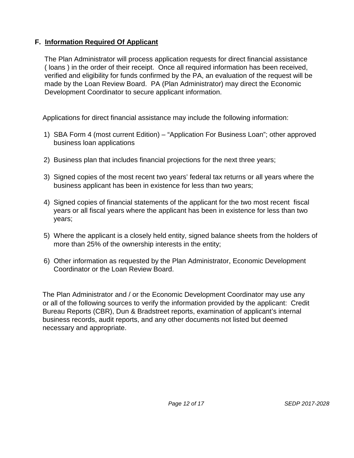#### **F. Information Required Of Applicant**

 The Plan Administrator will process application requests for direct financial assistance ( loans ) in the order of their receipt. Once all required information has been received, verified and eligibility for funds confirmed by the PA, an evaluation of the request will be made by the Loan Review Board. PA (Plan Administrator) may direct the Economic Development Coordinator to secure applicant information.

Applications for direct financial assistance may include the following information:

- 1) SBA Form 4 (most current Edition) "Application For Business Loan"; other approved business loan applications
- 2) Business plan that includes financial projections for the next three years;
- 3) Signed copies of the most recent two years' federal tax returns or all years where the business applicant has been in existence for less than two years;
- 4) Signed copies of financial statements of the applicant for the two most recent fiscal years or all fiscal years where the applicant has been in existence for less than two years;
- 5) Where the applicant is a closely held entity, signed balance sheets from the holders of more than 25% of the ownership interests in the entity;
- 6) Other information as requested by the Plan Administrator, Economic Development Coordinator or the Loan Review Board.

 The Plan Administrator and / or the Economic Development Coordinator may use any or all of the following sources to verify the information provided by the applicant: Credit Bureau Reports (CBR), Dun & Bradstreet reports, examination of applicant's internal business records, audit reports, and any other documents not listed but deemed necessary and appropriate.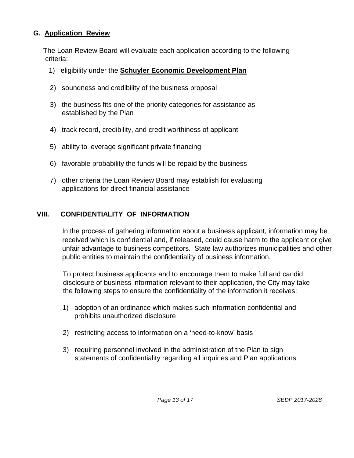#### **G. Application Review**

 The Loan Review Board will evaluate each application according to the following criteria:

- 1) eligibility under the **Schuyler Economic Development Plan**
- 2) soundness and credibility of the business proposal
- 3) the business fits one of the priority categories for assistance as established by the Plan
- 4) track record, credibility, and credit worthiness of applicant
- 5) ability to leverage significant private financing
- 6) favorable probability the funds will be repaid by the business
- 7) other criteria the Loan Review Board may establish for evaluating applications for direct financial assistance

#### **VIII. CONFIDENTIALITY OF INFORMATION**

 In the process of gathering information about a business applicant, information may be received which is confidential and, if released, could cause harm to the applicant or give unfair advantage to business competitors. State law authorizes municipalities and other public entities to maintain the confidentiality of business information.

To protect business applicants and to encourage them to make full and candid disclosure of business information relevant to their application, the City may take the following steps to ensure the confidentiality of the information it receives:

- 1) adoption of an ordinance which makes such information confidential and prohibits unauthorized disclosure
- 2) restricting access to information on a 'need-to-know' basis
- 3) requiring personnel involved in the administration of the Plan to sign statements of confidentiality regarding all inquiries and Plan applications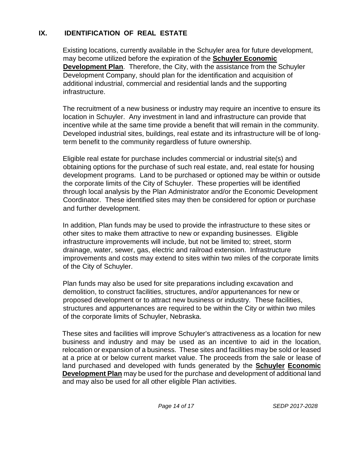#### **IX. IDENTIFICATION OF REAL ESTATE**

Existing locations, currently available in the Schuyler area for future development, may become utilized before the expiration of the **Schuyler Economic Development Plan**. Therefore, the City, with the assistance from the Schuyler Development Company, should plan for the identification and acquisition of additional industrial, commercial and residential lands and the supporting infrastructure.

The recruitment of a new business or industry may require an incentive to ensure its location in Schuyler. Any investment in land and infrastructure can provide that incentive while at the same time provide a benefit that will remain in the community. Developed industrial sites, buildings, real estate and its infrastructure will be of longterm benefit to the community regardless of future ownership.

Eligible real estate for purchase includes commercial or industrial site(s) and obtaining options for the purchase of such real estate, and, real estate for housing development programs. Land to be purchased or optioned may be within or outside the corporate limits of the City of Schuyler. These properties will be identified through local analysis by the Plan Administrator and/or the Economic Development Coordinator. These identified sites may then be considered for option or purchase and further development.

In addition, Plan funds may be used to provide the infrastructure to these sites or other sites to make them attractive to new or expanding businesses. Eligible infrastructure improvements will include, but not be limited to; street, storm drainage, water, sewer, gas, electric and railroad extension. Infrastructure improvements and costs may extend to sites within two miles of the corporate limits of the City of Schuyler.

Plan funds may also be used for site preparations including excavation and demolition, to construct facilities, structures, and/or appurtenances for new or proposed development or to attract new business or industry. These facilities, structures and appurtenances are required to be within the City or within two miles of the corporate limits of Schuyler, Nebraska.

These sites and facilities will improve Schuyler's attractiveness as a location for new business and industry and may be used as an incentive to aid in the location, relocation or expansion of a business. These sites and facilities may be sold or leased at a price at or below current market value. The proceeds from the sale or lease of land purchased and developed with funds generated by the **Schuyler Economic Development Plan** may be used for the purchase and development of additional land and may also be used for all other eligible Plan activities.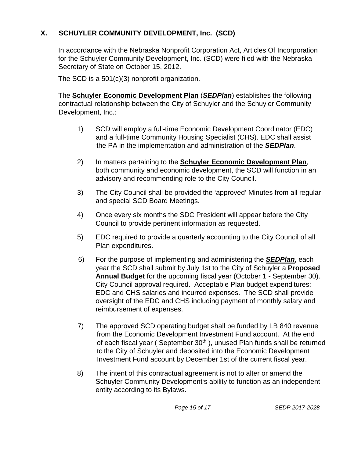#### **X. SCHUYLER COMMUNITY DEVELOPMENT, Inc. (SCD)**

In accordance with the Nebraska Nonprofit Corporation Act, Articles Of Incorporation for the Schuyler Community Development, Inc. (SCD) were filed with the Nebraska Secretary of State on October 15, 2012.

The SCD is a 501(c)(3) nonprofit organization.

The **Schuyler Economic Development Plan** (*SEDPlan*) establishes the following contractual relationship between the City of Schuyler and the Schuyler Community Development, Inc.:

- 1) SCD will employ a full-time Economic Development Coordinator (EDC) and a full-time Community Housing Specialist (CHS). EDC shall assist the PA in the implementation and administration of the *SEDPlan*.
- 2) In matters pertaining to the **Schuyler Economic Development Plan**, both community and economic development, the SCD will function in an advisory and recommending role to the City Council.
- 3) The City Council shall be provided the 'approved' Minutes from all regular and special SCD Board Meetings.
- 4) Once every six months the SDC President will appear before the City Council to provide pertinent information as requested.
- 5) EDC required to provide a quarterly accounting to the City Council of all Plan expenditures.
- 6) For the purpose of implementing and administering the *SEDPlan*, each year the SCD shall submit by July 1st to the City of Schuyler a **Proposed Annual Budget** for the upcoming fiscal year (October 1 - September 30). City Council approval required. Acceptable Plan budget expenditures: EDC and CHS salaries and incurred expenses. The SCD shall provide oversight of the EDC and CHS including payment of monthly salary and reimbursement of expenses.
- 7) The approved SCD operating budget shall be funded by LB 840 revenue from the Economic Development Investment Fund account. At the end of each fiscal year (September 30<sup>th</sup>), unused Plan funds shall be returned to the City of Schuyler and deposited into the Economic Development Investment Fund account by December 1st of the current fiscal year.
- 8) The intent of this contractual agreement is not to alter or amend the Schuyler Community Development's ability to function as an independent entity according to its Bylaws.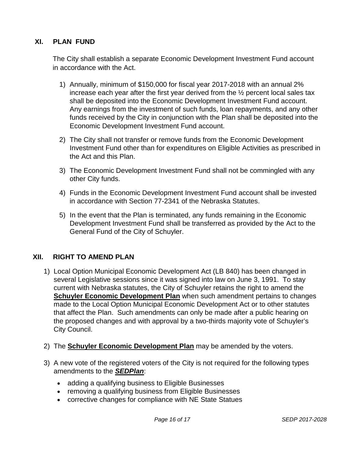#### **XI. PLAN FUND**

The City shall establish a separate Economic Development Investment Fund account in accordance with the Act.

- 1) Annually, minimum of \$150,000 for fiscal year 2017-2018 with an annual 2% increase each year after the first year derived from the ½ percent local sales tax shall be deposited into the Economic Development Investment Fund account. Any earnings from the investment of such funds, loan repayments, and any other funds received by the City in conjunction with the Plan shall be deposited into the Economic Development Investment Fund account.
- 2) The City shall not transfer or remove funds from the Economic Development Investment Fund other than for expenditures on Eligible Activities as prescribed in the Act and this Plan.
- 3) The Economic Development Investment Fund shall not be commingled with any other City funds.
- 4) Funds in the Economic Development Investment Fund account shall be invested in accordance with Section 77-2341 of the Nebraska Statutes.
- 5) In the event that the Plan is terminated, any funds remaining in the Economic Development Investment Fund shall be transferred as provided by the Act to the General Fund of the City of Schuyler.

#### **XII. RIGHT TO AMEND PLAN**

- 1) Local Option Municipal Economic Development Act (LB 840) has been changed in several Legislative sessions since it was signed into law on June 3, 1991. To stay current with Nebraska statutes, the City of Schuyler retains the right to amend the **Schuyler Economic Development Plan** when such amendment pertains to changes made to the Local Option Municipal Economic Development Act or to other statutes that affect the Plan. Such amendments can only be made after a public hearing on the proposed changes and with approval by a two-thirds majority vote of Schuyler's City Council.
- 2) The **Schuyler Economic Development Plan** may be amended by the voters.
- 3) A new vote of the registered voters of the City is not required for the following types amendments to the *SEDPlan*:
	- adding a qualifying business to Eligible Businesses
	- removing a qualifying business from Eligible Businesses
	- corrective changes for compliance with NE State Statues